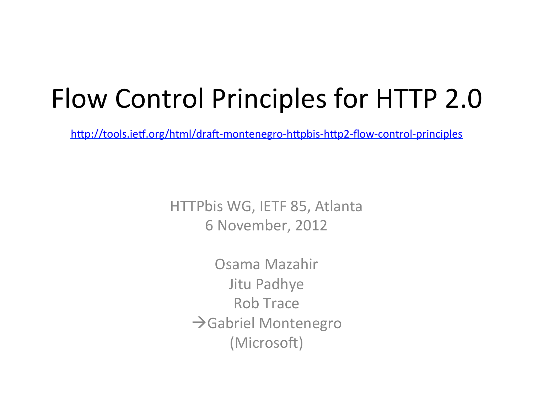## Flow Control Principles for HTTP 2.0

http://tools.ietf.org/html/draft-montenegro-httpbis-http2-flow-control-principles

HTTPbis WG, IETF 85, Atlanta 6 November, 2012 

> Osama Mazahir Jitu Padhye Rob Trace  $\rightarrow$ Gabriel Montenegro (Microsoft)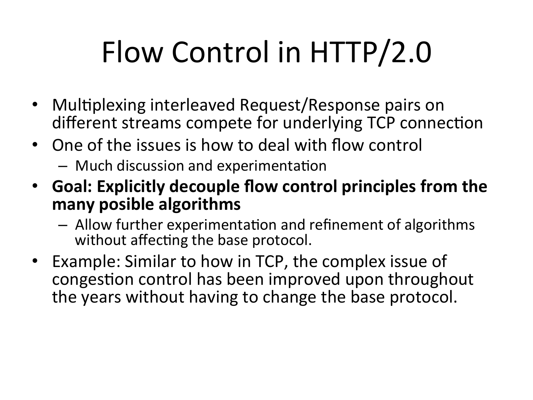## Flow Control in HTTP/2.0

- Multiplexing interleaved Request/Response pairs on different streams compete for underlying TCP connection
- One of the issues is how to deal with flow control
	- Much discussion and experimentation
- **Goal: Explicitly decouple flow control principles from the** many posible algorithms
	- $-$  Allow further experimentation and refinement of algorithms without affecting the base protocol.
- Example: Similar to how in TCP, the complex issue of congestion control has been improved upon throughout the years without having to change the base protocol.